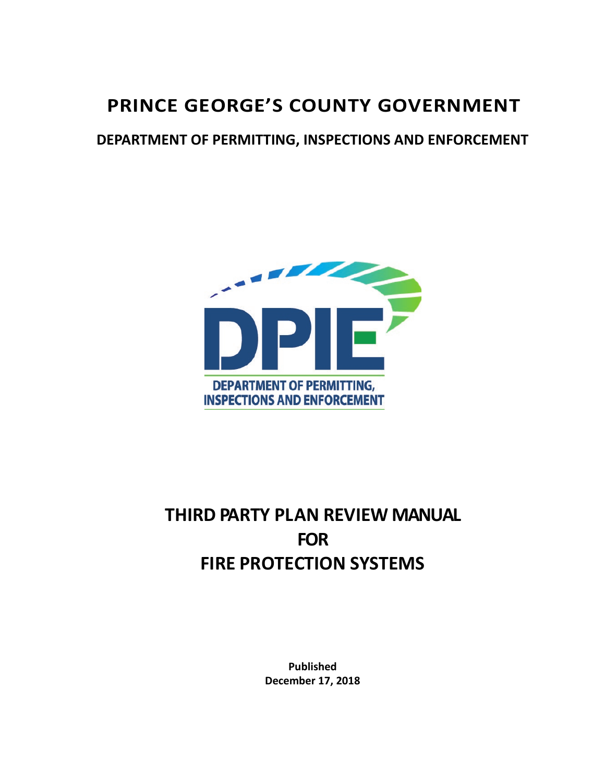# **PRINCE GEORGE'S COUNTY GOVERNMENT**

# **DEPARTMENT OF PERMITTING, INSPECTIONS AND ENFORCEMENT**



# **THIRD PARTY PLAN REVIEW MANUAL FOR FIRE PROTECTION SYSTEMS**

**Published December 17, 2018**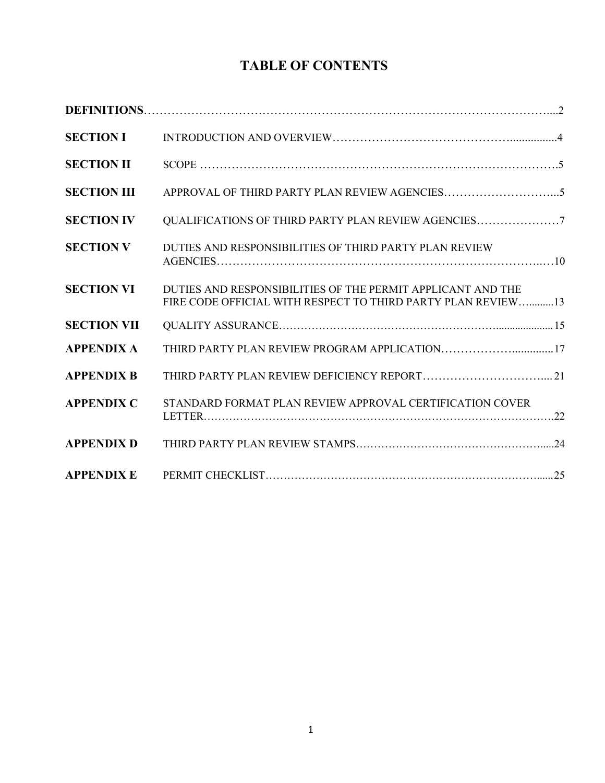# **TABLE OF CONTENTS**

| <b>SECTION I</b>   |                                                                                                                             |
|--------------------|-----------------------------------------------------------------------------------------------------------------------------|
| <b>SECTION II</b>  |                                                                                                                             |
| <b>SECTION III</b> |                                                                                                                             |
| <b>SECTION IV</b>  | QUALIFICATIONS OF THIRD PARTY PLAN REVIEW AGENCIES7                                                                         |
| <b>SECTION V</b>   | DUTIES AND RESPONSIBILITIES OF THIRD PARTY PLAN REVIEW                                                                      |
| <b>SECTION VI</b>  | DUTIES AND RESPONSIBILITIES OF THE PERMIT APPLICANT AND THE<br>FIRE CODE OFFICIAL WITH RESPECT TO THIRD PARTY PLAN REVIEW13 |
| <b>SECTION VII</b> |                                                                                                                             |
| <b>APPENDIX A</b>  | THIRD PARTY PLAN REVIEW PROGRAM APPLICATION17                                                                               |
| <b>APPENDIX B</b>  |                                                                                                                             |
| <b>APPENDIX C</b>  | STANDARD FORMAT PLAN REVIEW APPROVAL CERTIFICATION COVER                                                                    |
| <b>APPENDIX D</b>  |                                                                                                                             |
| <b>APPENDIX E</b>  |                                                                                                                             |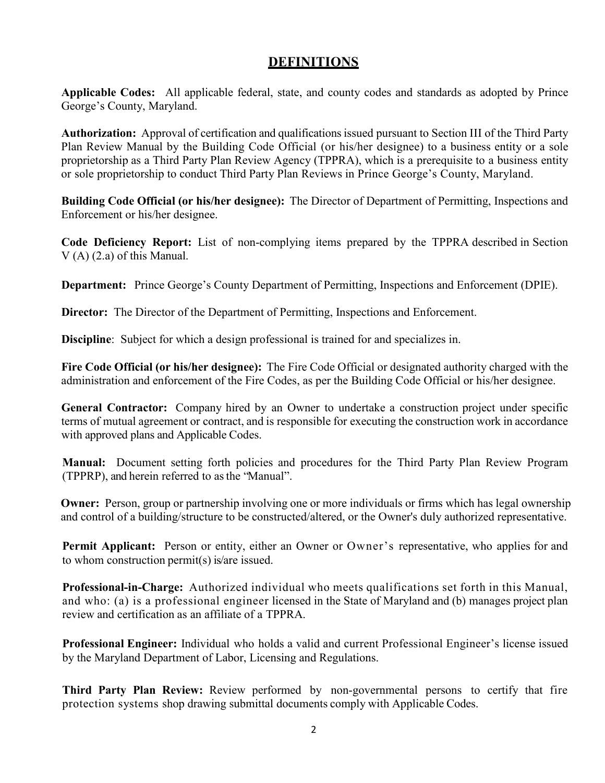## **DEFINITIONS**

**Applicable Codes:** All applicable federal, state, and county codes and standards as adopted by Prince George's County, Maryland.

**Authorization:** Approval of certification and qualifications issued pursuant to Section III of the Third Party Plan Review Manual by the Building Code Official (or his/her designee) to a business entity or a sole proprietorship as a Third Party Plan Review Agency (TPPRA), which is a prerequisite to a business entity or sole proprietorship to conduct Third Party Plan Reviews in Prince George's County, Maryland.

**Building Code Official (or his/her designee):** The Director of Department of Permitting, Inspections and Enforcement or his/her designee.

**Code Deficiency Report:** List of non-complying items prepared by the TPPRA described in Section V (A) (2.a) of this Manual.

**Department:** Prince George's County Department of Permitting, Inspections and Enforcement (DPIE).

**Director:** The Director of the Department of Permitting, Inspections and Enforcement.

**Discipline**: Subject for which a design professional is trained for and specializes in.

**Fire Code Official (or his/her designee):** The Fire Code Official or designated authority charged with the administration and enforcement of the Fire Codes, as per the Building Code Official or his/her designee.

**General Contractor:** Company hired by an Owner to undertake a construction project under specific terms of mutual agreement or contract, and is responsible for executing the construction work in accordance with approved plans and Applicable Codes.

**Manual:** Document setting forth policies and procedures for the Third Party Plan Review Program (TPPRP), and herein referred to asthe "Manual".

**Owner:** Person, group or partnership involving one or more individuals or firms which has legal ownership and control of a building/structure to be constructed/altered, or the Owner's duly authorized representative.

Permit Applicant: Person or entity, either an Owner or Owner's representative, who applies for and to whom construction permit(s) is/are issued.

**Professional-in-Charge:** Authorized individual who meets qualifications set forth in this Manual, and who: (a) is a professional engineer licensed in the State of Maryland and (b) manages project plan review and certification as an affiliate of a TPPRA.

**Professional Engineer:** Individual who holds a valid and current Professional Engineer's license issued by the Maryland Department of Labor, Licensing and Regulations.

**Third Party Plan Review:** Review performed by non-governmental persons to certify that fire protection systems shop drawing submittal documents comply with Applicable Codes.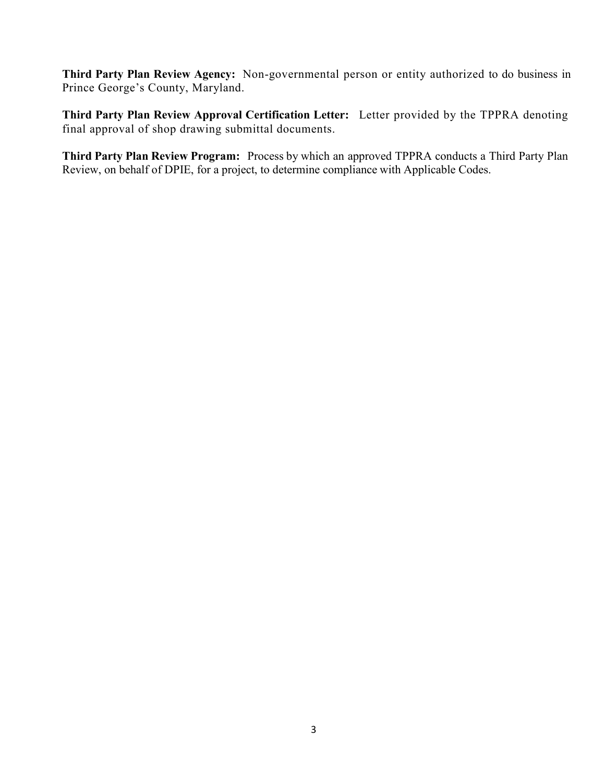**Third Party Plan Review Agency:** Non-governmental person or entity authorized to do business in Prince George's County, Maryland.

**Third Party Plan Review Approval Certification Letter:** Letter provided by the TPPRA denoting final approval of shop drawing submittal documents.

**Third Party Plan Review Program:** Process by which an approved TPPRA conducts a Third Party Plan Review, on behalf of DPIE, for a project, to determine compliance with Applicable Codes.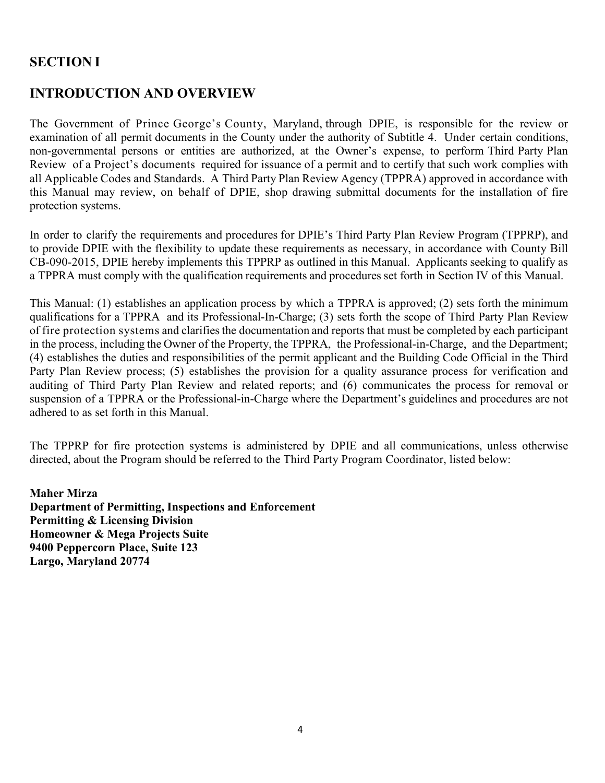# **SECTION I**

## **INTRODUCTION AND OVERVIEW**

The Government of Prince George's County, Maryland, through DPIE, is responsible for the review or examination of all permit documents in the County under the authority of Subtitle 4. Under certain conditions, non-governmental persons or entities are authorized, at the Owner's expense, to perform Third Party Plan Review of a Project's documents required for issuance of a permit and to certify that such work complies with all Applicable Codes and Standards. A Third Party Plan Review Agency (TPPRA) approved in accordance with this Manual may review, on behalf of DPIE, shop drawing submittal documents for the installation of fire protection systems.

In order to clarify the requirements and procedures for DPIE's Third Party Plan Review Program (TPPRP), and to provide DPIE with the flexibility to update these requirements as necessary, in accordance with County Bill CB-090-2015, DPIE hereby implements this TPPRP as outlined in this Manual. Applicants seeking to qualify as a TPPRA must comply with the qualification requirements and procedures set forth in Section IV of this Manual.

This Manual: (1) establishes an application process by which a TPPRA is approved; (2) sets forth the minimum qualifications for a TPPRA and its Professional-In-Charge; (3) sets forth the scope of Third Party Plan Review of fire protection systems and clarifies the documentation and reports that must be completed by each participant in the process, including the Owner of the Property, the TPPRA, the Professional-in-Charge, and the Department; (4) establishes the duties and responsibilities of the permit applicant and the Building Code Official in the Third Party Plan Review process; (5) establishes the provision for a quality assurance process for verification and auditing of Third Party Plan Review and related reports; and (6) communicates the process for removal or suspension of a TPPRA or the Professional-in-Charge where the Department's guidelines and procedures are not adhered to as set forth in this Manual.

The TPPRP for fire protection systems is administered by DPIE and all communications, unless otherwise directed, about the Program should be referred to the Third Party Program Coordinator, listed below:

**Maher Mirza Department of Permitting, Inspections and Enforcement Permitting & Licensing Division Homeowner & Mega Projects Suite 9400 Peppercorn Place, Suite 123 Largo, Maryland 20774**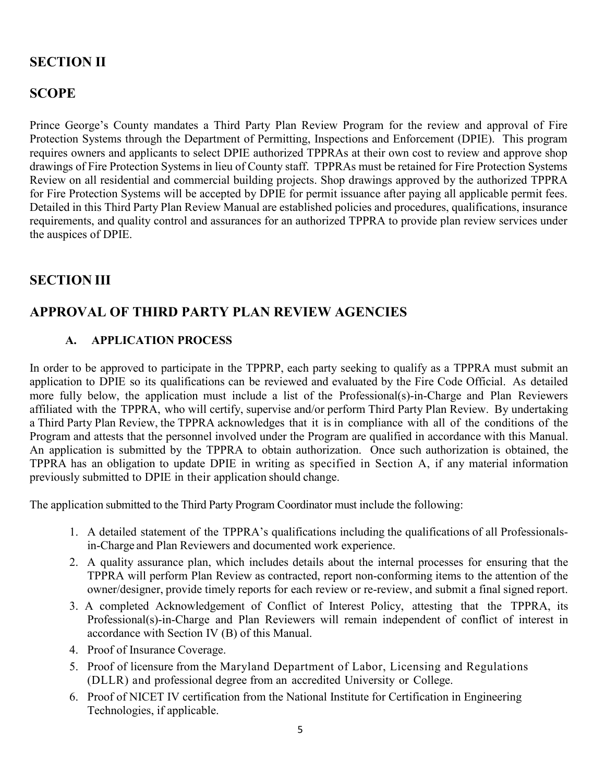# **SECTION II**

## **SCOPE**

Prince George's County mandates a Third Party Plan Review Program for the review and approval of Fire Protection Systems through the Department of Permitting, Inspections and Enforcement (DPIE). This program requires owners and applicants to select DPIE authorized TPPRAs at their own cost to review and approve shop drawings of Fire Protection Systems in lieu of County staff. TPPRAs must be retained for Fire Protection Systems Review on all residential and commercial building projects. Shop drawings approved by the authorized TPPRA for Fire Protection Systems will be accepted by DPIE for permit issuance after paying all applicable permit fees. Detailed in this Third Party Plan Review Manual are established policies and procedures, qualifications, insurance requirements, and quality control and assurances for an authorized TPPRA to provide plan review services under the auspices of DPIE.

## **SECTION III**

# **APPROVAL OF THIRD PARTY PLAN REVIEW AGENCIES**

#### **A. APPLICATION PROCESS**

In order to be approved to participate in the TPPRP, each party seeking to qualify as a TPPRA must submit an application to DPIE so its qualifications can be reviewed and evaluated by the Fire Code Official. As detailed more fully below, the application must include a list of the Professional(s)-in-Charge and Plan Reviewers affiliated with the TPPRA, who will certify, supervise and/or perform Third Party Plan Review. By undertaking a Third Party Plan Review, the TPPRA acknowledges that it is in compliance with all of the conditions of the Program and attests that the personnel involved under the Program are qualified in accordance with this Manual. An application is submitted by the TPPRA to obtain authorization. Once such authorization is obtained, the TPPRA has an obligation to update DPIE in writing as specified in Section A, if any material information previously submitted to DPIE in their application should change.

The application submitted to the Third Party Program Coordinator must include the following:

- 1. A detailed statement of the TPPRA's qualifications including the qualifications of all Professionalsin-Charge and Plan Reviewers and documented work experience.
- 2. A quality assurance plan, which includes details about the internal processes for ensuring that the TPPRA will perform Plan Review as contracted, report non-conforming items to the attention of the owner/designer, provide timely reports for each review or re-review, and submit a final signed report.
- 3. A completed Acknowledgement of Conflict of Interest Policy, attesting that the TPPRA, its Professional(s)-in-Charge and Plan Reviewers will remain independent of conflict of interest in accordance with Section IV (B) of this Manual.
- 4. Proof of Insurance Coverage.
- 5. Proof of licensure from the Maryland Department of Labor, Licensing and Regulations (DLLR) and professional degree from an accredited University or College.
- 6. Proof of NICET IV certification from the National Institute for Certification in Engineering Technologies, if applicable.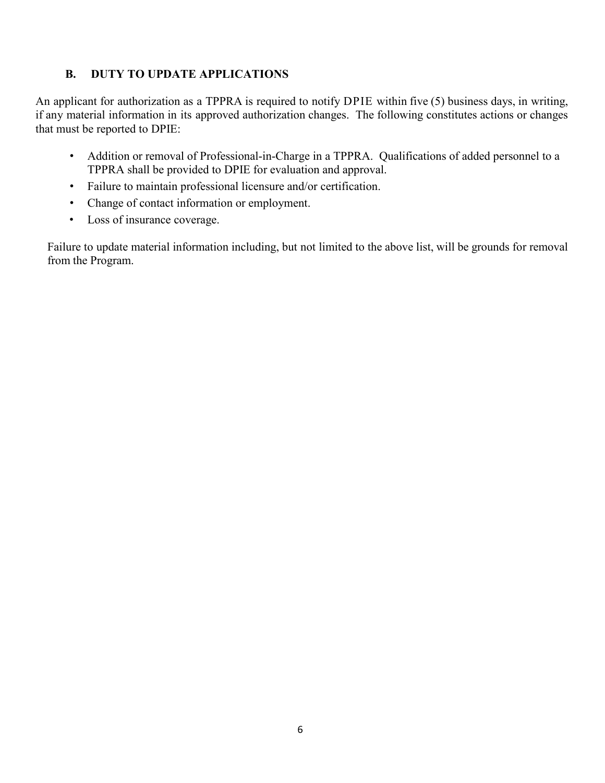#### **B. DUTY TO UPDATE APPLICATIONS**

An applicant for authorization as a TPPRA is required to notify DPIE within five (5) business days, in writing, if any material information in its approved authorization changes. The following constitutes actions or changes that must be reported to DPIE:

- Addition or removal of Professional-in-Charge in a TPPRA. Qualifications of added personnel to a TPPRA shall be provided to DPIE for evaluation and approval.
- Failure to maintain professional licensure and/or certification.
- Change of contact information or employment.
- Loss of insurance coverage.

Failure to update material information including, but not limited to the above list, will be grounds for removal from the Program.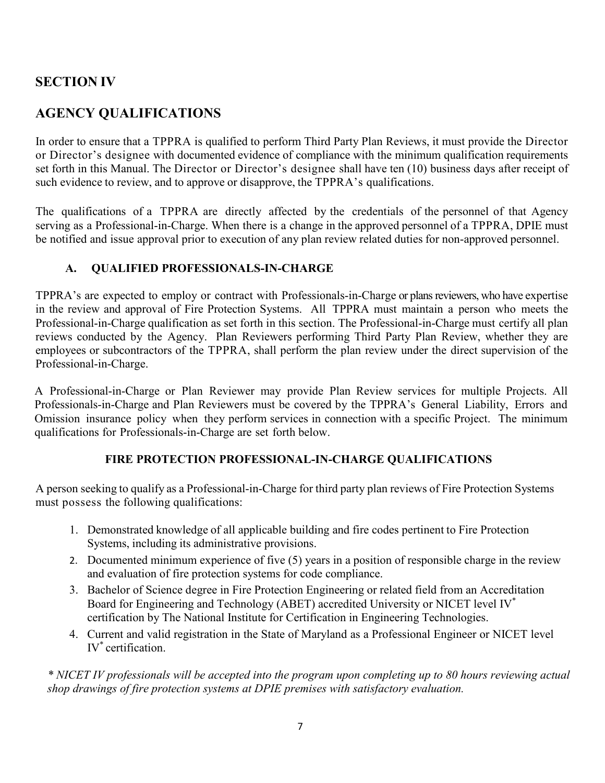## **SECTION IV**

# **AGENCY QUALIFICATIONS**

In order to ensure that a TPPRA is qualified to perform Third Party Plan Reviews, it must provide the Director or Director's designee with documented evidence of compliance with the minimum qualification requirements set forth in this Manual. The Director or Director's designee shall have ten (10) business days after receipt of such evidence to review, and to approve or disapprove, the TPPRA's qualifications.

The qualifications of a TPPRA are directly affected by the credentials of the personnel of that Agency serving as a Professional-in-Charge. When there is a change in the approved personnel of a TPPRA, DPIE must be notified and issue approval prior to execution of any plan review related duties for non-approved personnel.

#### **A. QUALIFIED PROFESSIONALS-IN-CHARGE**

TPPRA's are expected to employ or contract with Professionals-in-Charge or plans reviewers, who have expertise in the review and approval of Fire Protection Systems. All TPPRA must maintain a person who meets the Professional-in-Charge qualification as set forth in this section. The Professional-in-Charge must certify all plan reviews conducted by the Agency. Plan Reviewers performing Third Party Plan Review, whether they are employees or subcontractors of the TPPRA, shall perform the plan review under the direct supervision of the Professional-in-Charge.

A Professional-in-Charge or Plan Reviewer may provide Plan Review services for multiple Projects. All Professionals-in-Charge and Plan Reviewers must be covered by the TPPRA's General Liability, Errors and Omission insurance policy when they perform services in connection with a specific Project. The minimum qualifications for Professionals-in-Charge are set forth below.

#### **FIRE PROTECTION PROFESSIONAL-IN-CHARGE QUALIFICATIONS**

A person seeking to qualify as a Professional-in-Charge for third party plan reviews of Fire Protection Systems must possess the following qualifications:

- 1. Demonstrated knowledge of all applicable building and fire codes pertinent to Fire Protection Systems, including its administrative provisions.
- 2. Documented minimum experience of five (5) years in a position of responsible charge in the review and evaluation of fire protection systems for code compliance.
- 3. Bachelor of Science degree in Fire Protection Engineering or related field from an Accreditation Board for Engineering and Technology (ABET) accredited University or NICET level IV\* certification by The National Institute for Certification in Engineering Technologies.
- 4. Current and valid registration in the State of Maryland as a Professional Engineer or NICET level IV\* certification.

*\* NICET IV professionals will be accepted into the program upon completing up to 80 hours reviewing actual shop drawings of fire protection systems at DPIE premises with satisfactory evaluation.*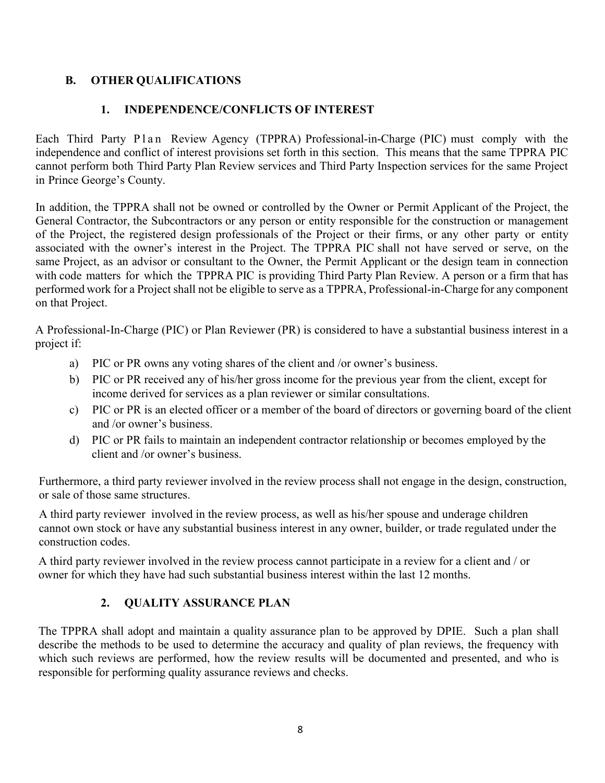#### **B. OTHER QUALIFICATIONS**

#### **1. INDEPENDENCE/CONFLICTS OF INTEREST**

Each Third Party Plan Review Agency (TPPRA) Professional-in-Charge (PIC) must comply with the independence and conflict of interest provisions set forth in this section. This means that the same TPPRA PIC cannot perform both Third Party Plan Review services and Third Party Inspection services for the same Project in Prince George's County.

In addition, the TPPRA shall not be owned or controlled by the Owner or Permit Applicant of the Project, the General Contractor, the Subcontractors or any person or entity responsible for the construction or management of the Project, the registered design professionals of the Project or their firms, or any other party or entity associated with the owner's interest in the Project. The TPPRA PIC shall not have served or serve, on the same Project, as an advisor or consultant to the Owner, the Permit Applicant or the design team in connection with code matters for which the TPPRA PIC is providing Third Party Plan Review. A person or a firm that has performed work for a Project shall not be eligible to serve as a TPPRA, Professional-in-Charge for any component on that Project.

A Professional-In-Charge (PIC) or Plan Reviewer (PR) is considered to have a substantial business interest in a project if:

- a) PIC or PR owns any voting shares of the client and /or owner's business.
- b) PIC or PR received any of his/her gross income for the previous year from the client, except for income derived for services as a plan reviewer or similar consultations.
- c) PIC or PR is an elected officer or a member of the board of directors or governing board of the client and /or owner's business.
- d) PIC or PR fails to maintain an independent contractor relationship or becomes employed by the client and /or owner's business.

Furthermore, a third party reviewer involved in the review process shall not engage in the design, construction, or sale of those same structures.

A third party reviewer involved in the review process, as well as his/her spouse and underage children cannot own stock or have any substantial business interest in any owner, builder, or trade regulated under the construction codes.

A third party reviewer involved in the review process cannot participate in a review for a client and / or owner for which they have had such substantial business interest within the last 12 months.

#### **2. QUALITY ASSURANCE PLAN**

The TPPRA shall adopt and maintain a quality assurance plan to be approved by DPIE. Such a plan shall describe the methods to be used to determine the accuracy and quality of plan reviews, the frequency with which such reviews are performed, how the review results will be documented and presented, and who is responsible for performing quality assurance reviews and checks.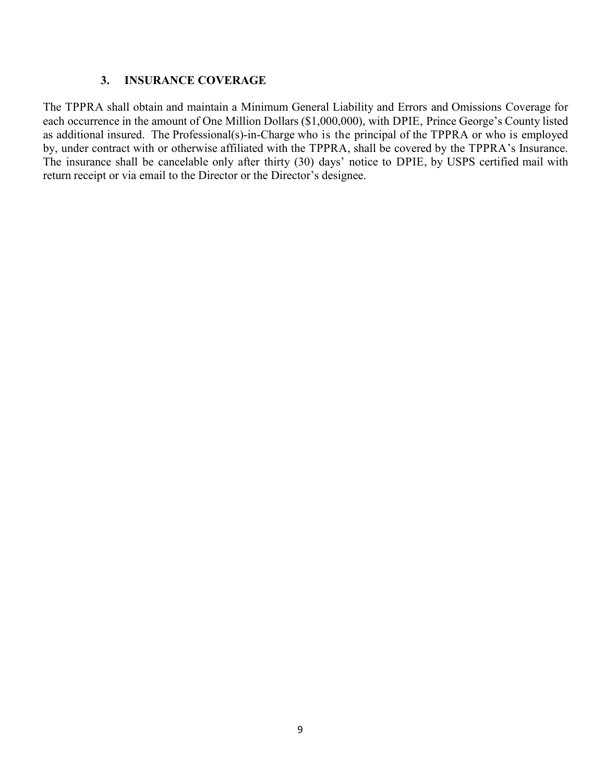#### **3. INSURANCE COVERAGE**

The TPPRA shall obtain and maintain a Minimum General Liability and Errors and Omissions Coverage for each occurrence in the amount of One Million Dollars (\$1,000,000), with DPIE, Prince George's County listed as additional insured. The Professional(s)-in-Charge who is the principal of the TPPRA or who is employed by, under contract with or otherwise affiliated with the TPPRA, shall be covered by the TPPRA's Insurance. The insurance shall be cancelable only after thirty (30) days' notice to DPIE, by USPS certified mail with return receipt or via email to the Director or the Director's designee.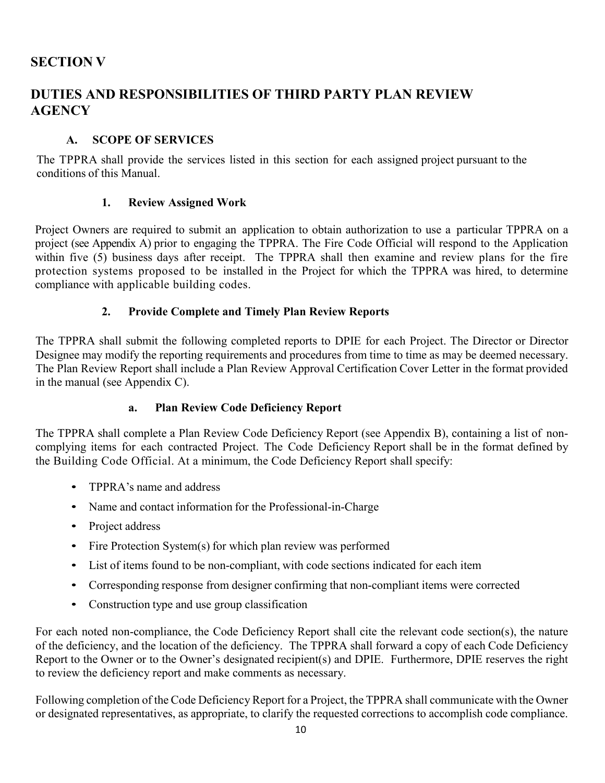# **SECTION V**

# **DUTIES AND RESPONSIBILITIES OF THIRD PARTY PLAN REVIEW AGENCY**

#### **A. SCOPE OF SERVICES**

The TPPRA shall provide the services listed in this section for each assigned project pursuant to the conditions of this Manual.

#### **1. Review Assigned Work**

Project Owners are required to submit an application to obtain authorization to use a particular TPPRA on a project (see Appendix A) prior to engaging the TPPRA. The Fire Code Official will respond to the Application within five (5) business days after receipt. The TPPRA shall then examine and review plans for the fire protection systems proposed to be installed in the Project for which the TPPRA was hired, to determine compliance with applicable building codes.

#### **2. Provide Complete and Timely Plan Review Reports**

The TPPRA shall submit the following completed reports to DPIE for each Project. The Director or Director Designee may modify the reporting requirements and procedures from time to time as may be deemed necessary. The Plan Review Report shall include a Plan Review Approval Certification Cover Letter in the format provided in the manual (see Appendix C).

#### **a. Plan Review Code Deficiency Report**

The TPPRA shall complete a Plan Review Code Deficiency Report (see Appendix B), containing a list of noncomplying items for each contracted Project. The Code Deficiency Report shall be in the format defined by the Building Code Official. At a minimum, the Code Deficiency Report shall specify:

- TPPRA's name and address
- Name and contact information for the Professional-in-Charge
- Project address
- Fire Protection System(s) for which plan review was performed
- List of items found to be non-compliant, with code sections indicated for each item
- Corresponding response from designer confirming that non-compliant items were corrected
- Construction type and use group classification

For each noted non-compliance, the Code Deficiency Report shall cite the relevant code section(s), the nature of the deficiency, and the location of the deficiency. The TPPRA shall forward a copy of each Code Deficiency Report to the Owner or to the Owner's designated recipient(s) and DPIE. Furthermore, DPIE reserves the right to review the deficiency report and make comments as necessary.

Following completion of the Code Deficiency Report for a Project, the TPPRA shall communicate with the Owner or designated representatives, as appropriate, to clarify the requested corrections to accomplish code compliance.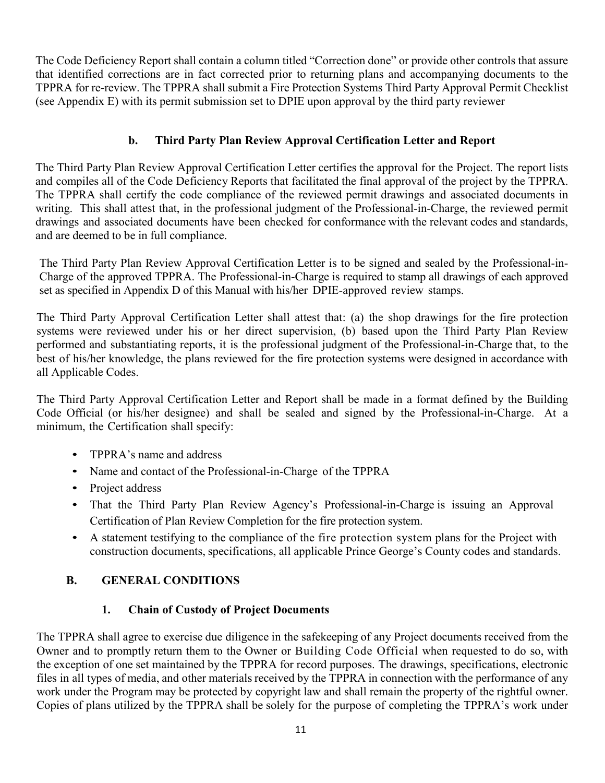The Code Deficiency Report shall contain a column titled "Correction done" or provide other controls that assure that identified corrections are in fact corrected prior to returning plans and accompanying documents to the TPPRA for re-review. The TPPRA shall submit a Fire Protection Systems Third Party Approval Permit Checklist (see Appendix E) with its permit submission set to DPIE upon approval by the third party reviewer

#### **b. Third Party Plan Review Approval Certification Letter and Report**

The Third Party Plan Review Approval Certification Letter certifies the approval for the Project. The report lists and compiles all of the Code Deficiency Reports that facilitated the final approval of the project by the TPPRA. The TPPRA shall certify the code compliance of the reviewed permit drawings and associated documents in writing. This shall attest that, in the professional judgment of the Professional-in-Charge, the reviewed permit drawings and associated documents have been checked for conformance with the relevant codes and standards, and are deemed to be in full compliance.

The Third Party Plan Review Approval Certification Letter is to be signed and sealed by the Professional-in-Charge of the approved TPPRA. The Professional-in-Charge is required to stamp all drawings of each approved set as specified in Appendix D of this Manual with his/her DPIE-approved review stamps.

The Third Party Approval Certification Letter shall attest that: (a) the shop drawings for the fire protection systems were reviewed under his or her direct supervision, (b) based upon the Third Party Plan Review performed and substantiating reports, it is the professional judgment of the Professional-in-Charge that, to the best of his/her knowledge, the plans reviewed for the fire protection systems were designed in accordance with all Applicable Codes.

The Third Party Approval Certification Letter and Report shall be made in a format defined by the Building Code Official (or his/her designee) and shall be sealed and signed by the Professional-in-Charge. At a minimum, the Certification shall specify:

- TPPRA's name and address
- Name and contact of the Professional-in-Charge of the TPPRA
- Project address
- That the Third Party Plan Review Agency's Professional-in-Charge is issuing an Approval Certification of Plan Review Completion for the fire protection system.
- A statement testifying to the compliance of the fire protection system plans for the Project with construction documents, specifications, all applicable Prince George's County codes and standards.

#### **B. GENERAL CONDITIONS**

#### **1. Chain of Custody of Project Documents**

The TPPRA shall agree to exercise due diligence in the safekeeping of any Project documents received from the Owner and to promptly return them to the Owner or Building Code Official when requested to do so, with the exception of one set maintained by the TPPRA for record purposes. The drawings, specifications, electronic files in all types of media, and other materials received by the TPPRA in connection with the performance of any work under the Program may be protected by copyright law and shall remain the property of the rightful owner. Copies of plans utilized by the TPPRA shall be solely for the purpose of completing the TPPRA's work under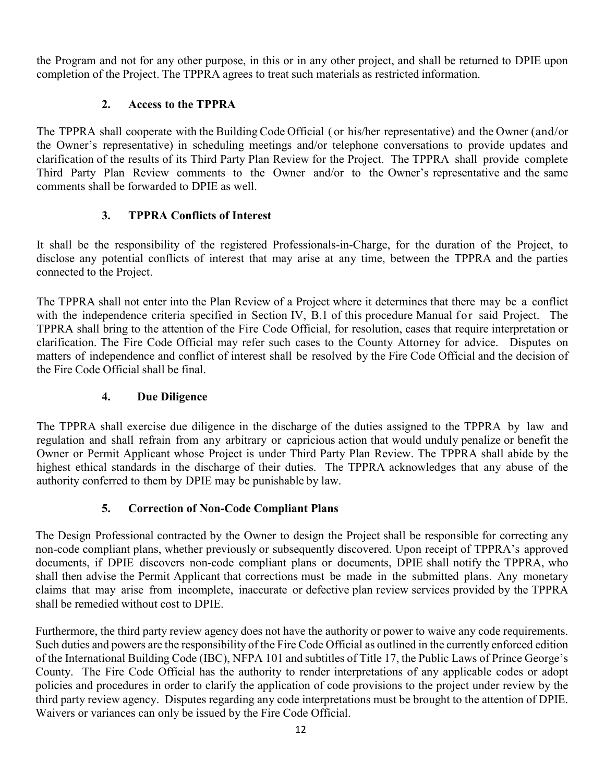the Program and not for any other purpose, in this or in any other project, and shall be returned to DPIE upon completion of the Project. The TPPRA agrees to treat such materials as restricted information.

#### **2. Access to the TPPRA**

The TPPRA shall cooperate with the Building Code Official ( or his/her representative) and the Owner (and/or the Owner's representative) in scheduling meetings and/or telephone conversations to provide updates and clarification of the results of its Third Party Plan Review for the Project. The TPPRA shall provide complete Third Party Plan Review comments to the Owner and/or to the Owner's representative and the same comments shall be forwarded to DPIE as well.

## **3. TPPRA Conflicts of Interest**

It shall be the responsibility of the registered Professionals-in-Charge, for the duration of the Project, to disclose any potential conflicts of interest that may arise at any time, between the TPPRA and the parties connected to the Project.

The TPPRA shall not enter into the Plan Review of a Project where it determines that there may be a conflict with the independence criteria specified in Section IV, B.1 of this procedure Manual for said Project. The TPPRA shall bring to the attention of the Fire Code Official, for resolution, cases that require interpretation or clarification. The Fire Code Official may refer such cases to the County Attorney for advice. Disputes on matters of independence and conflict of interest shall be resolved by the Fire Code Official and the decision of the Fire Code Official shall be final.

## **4. Due Diligence**

The TPPRA shall exercise due diligence in the discharge of the duties assigned to the TPPRA by law and regulation and shall refrain from any arbitrary or capricious action that would unduly penalize or benefit the Owner or Permit Applicant whose Project is under Third Party Plan Review. The TPPRA shall abide by the highest ethical standards in the discharge of their duties. The TPPRA acknowledges that any abuse of the authority conferred to them by DPIE may be punishable by law.

# **5. Correction of Non-Code Compliant Plans**

The Design Professional contracted by the Owner to design the Project shall be responsible for correcting any non-code compliant plans, whether previously or subsequently discovered. Upon receipt of TPPRA's approved documents, if DPIE discovers non-code compliant plans or documents, DPIE shall notify the TPPRA, who shall then advise the Permit Applicant that corrections must be made in the submitted plans. Any monetary claims that may arise from incomplete, inaccurate or defective plan review services provided by the TPPRA shall be remedied without cost to DPIE.

Furthermore, the third party review agency does not have the authority or power to waive any code requirements. Such duties and powers are the responsibility of the Fire Code Official as outlined in the currently enforced edition of the International Building Code (IBC), NFPA 101 and subtitles of Title 17, the Public Laws of Prince George's County. The Fire Code Official has the authority to render interpretations of any applicable codes or adopt policies and procedures in order to clarify the application of code provisions to the project under review by the third party review agency. Disputes regarding any code interpretations must be brought to the attention of DPIE. Waivers or variances can only be issued by the Fire Code Official.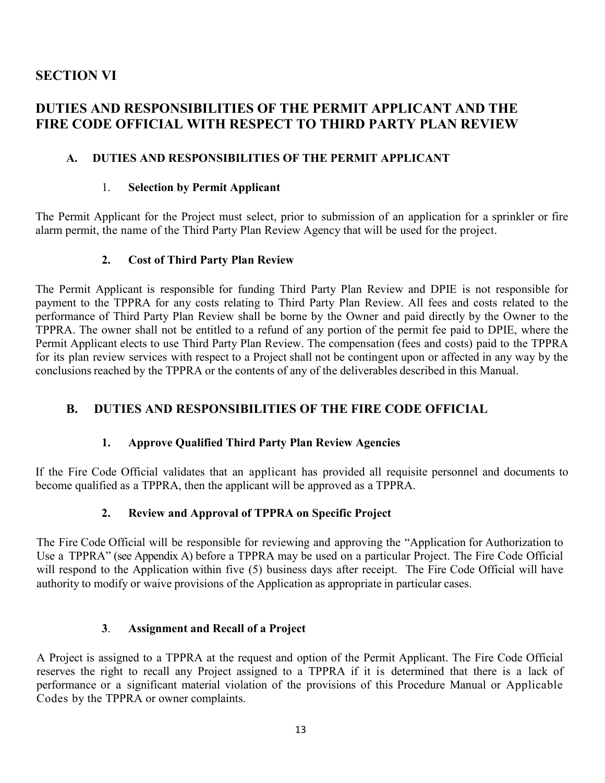## **SECTION VI**

# **DUTIES AND RESPONSIBILITIES OF THE PERMIT APPLICANT AND THE FIRE CODE OFFICIAL WITH RESPECT TO THIRD PARTY PLAN REVIEW**

#### **A. DUTIES AND RESPONSIBILITIES OF THE PERMIT APPLICANT**

#### 1. **Selection by Permit Applicant**

The Permit Applicant for the Project must select, prior to submission of an application for a sprinkler or fire alarm permit, the name of the Third Party Plan Review Agency that will be used for the project.

#### **2. Cost of Third Party Plan Review**

The Permit Applicant is responsible for funding Third Party Plan Review and DPIE is not responsible for payment to the TPPRA for any costs relating to Third Party Plan Review. All fees and costs related to the performance of Third Party Plan Review shall be borne by the Owner and paid directly by the Owner to the TPPRA. The owner shall not be entitled to a refund of any portion of the permit fee paid to DPIE, where the Permit Applicant elects to use Third Party Plan Review. The compensation (fees and costs) paid to the TPPRA for its plan review services with respect to a Project shall not be contingent upon or affected in any way by the conclusions reached by the TPPRA or the contents of any of the deliverables described in this Manual.

#### **B. DUTIES AND RESPONSIBILITIES OF THE FIRE CODE OFFICIAL**

#### **1. Approve Qualified Third Party Plan Review Agencies**

If the Fire Code Official validates that an applicant has provided all requisite personnel and documents to become qualified as a TPPRA, then the applicant will be approved as a TPPRA.

#### **2. Review and Approval of TPPRA on Specific Project**

The Fire Code Official will be responsible for reviewing and approving the "Application for Authorization to Use a TPPRA" (see Appendix A) before a TPPRA may be used on a particular Project. The Fire Code Official will respond to the Application within five (5) business days after receipt. The Fire Code Official will have authority to modify or waive provisions of the Application as appropriate in particular cases.

#### **3**. **Assignment and Recall of a Project**

A Project is assigned to a TPPRA at the request and option of the Permit Applicant. The Fire Code Official reserves the right to recall any Project assigned to a TPPRA if it is determined that there is a lack of performance or a significant material violation of the provisions of this Procedure Manual or Applicable Codes by the TPPRA or owner complaints.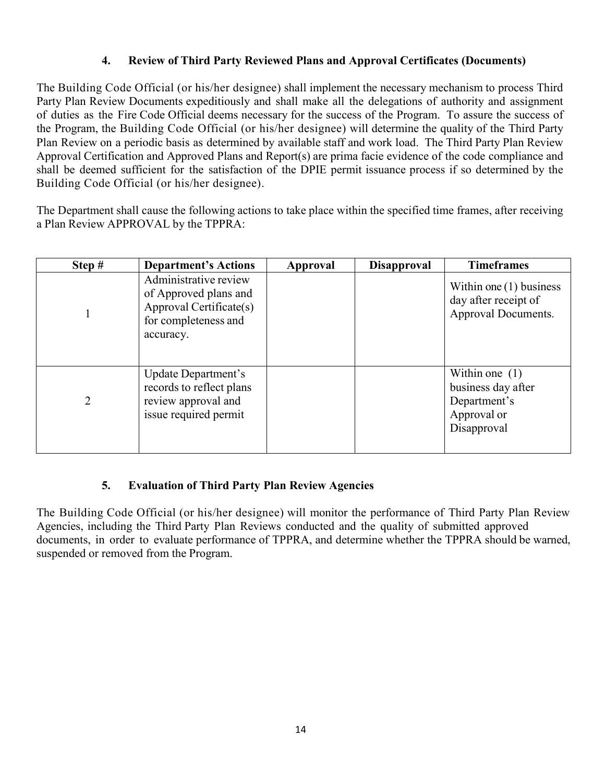#### **4. Review of Third Party Reviewed Plans and Approval Certificates (Documents)**

The Building Code Official (or his/her designee) shall implement the necessary mechanism to process Third Party Plan Review Documents expeditiously and shall make all the delegations of authority and assignment of duties as the Fire Code Official deems necessary for the success of the Program. To assure the success of the Program, the Building Code Official (or his/her designee) will determine the quality of the Third Party Plan Review on a periodic basis as determined by available staff and work load. The Third Party Plan Review Approval Certification and Approved Plans and Report(s) are prima facie evidence of the code compliance and shall be deemed sufficient for the satisfaction of the DPIE permit issuance process if so determined by the Building Code Official (or his/her designee).

The Department shall cause the following actions to take place within the specified time frames, after receiving a Plan Review APPROVAL by the TPPRA:

| Step $#$ | <b>Department's Actions</b>                                                                                    | Approval | <b>Disapproval</b> | <b>Timeframes</b>                                                                    |
|----------|----------------------------------------------------------------------------------------------------------------|----------|--------------------|--------------------------------------------------------------------------------------|
|          | Administrative review<br>of Approved plans and<br>Approval Certificate(s)<br>for completeness and<br>accuracy. |          |                    | Within one $(1)$ business<br>day after receipt of<br>Approval Documents.             |
| 2        | Update Department's<br>records to reflect plans<br>review approval and<br>issue required permit                |          |                    | Within one $(1)$<br>business day after<br>Department's<br>Approval or<br>Disapproval |

#### **5. Evaluation of Third Party Plan Review Agencies**

The Building Code Official (or his/her designee) will monitor the performance of Third Party Plan Review Agencies, including the Third Party Plan Reviews conducted and the quality of submitted approved documents, in order to evaluate performance of TPPRA, and determine whether the TPPRA should be warned, suspended or removed from the Program.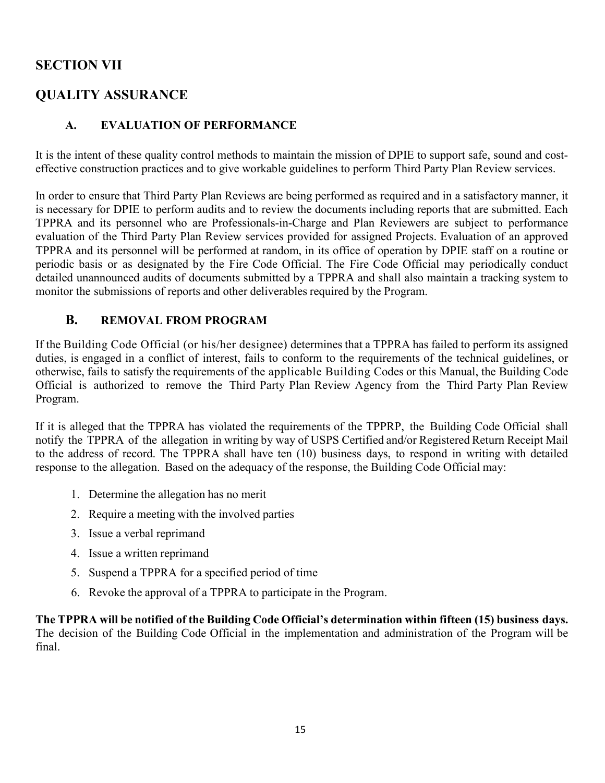## **SECTION VII**

## **QUALITY ASSURANCE**

#### **A. EVALUATION OF PERFORMANCE**

It is the intent of these quality control methods to maintain the mission of DPIE to support safe, sound and costeffective construction practices and to give workable guidelines to perform Third Party Plan Review services.

In order to ensure that Third Party Plan Reviews are being performed as required and in a satisfactory manner, it is necessary for DPIE to perform audits and to review the documents including reports that are submitted. Each TPPRA and its personnel who are Professionals-in-Charge and Plan Reviewers are subject to performance evaluation of the Third Party Plan Review services provided for assigned Projects. Evaluation of an approved TPPRA and its personnel will be performed at random, in its office of operation by DPIE staff on a routine or periodic basis or as designated by the Fire Code Official. The Fire Code Official may periodically conduct detailed unannounced audits of documents submitted by a TPPRA and shall also maintain a tracking system to monitor the submissions of reports and other deliverables required by the Program.

#### **B. REMOVAL FROM PROGRAM**

If the Building Code Official (or his/her designee) determines that a TPPRA has failed to perform its assigned duties, is engaged in a conflict of interest, fails to conform to the requirements of the technical guidelines, or otherwise, fails to satisfy the requirements of the applicable Building Codes or this Manual, the Building Code Official is authorized to remove the Third Party Plan Review Agency from the Third Party Plan Review Program.

If it is alleged that the TPPRA has violated the requirements of the TPPRP, the Building Code Official shall notify the TPPRA of the allegation in writing by way of USPS Certified and/or Registered Return Receipt Mail to the address of record. The TPPRA shall have ten (10) business days, to respond in writing with detailed response to the allegation. Based on the adequacy of the response, the Building Code Official may:

- 1. Determine the allegation has no merit
- 2. Require a meeting with the involved parties
- 3. Issue a verbal reprimand
- 4. Issue a written reprimand
- 5. Suspend a TPPRA for a specified period of time
- 6. Revoke the approval of a TPPRA to participate in the Program.

**The TPPRA will be notified of the Building Code Official's determination within fifteen (15) business days.**  The decision of the Building Code Official in the implementation and administration of the Program will be final.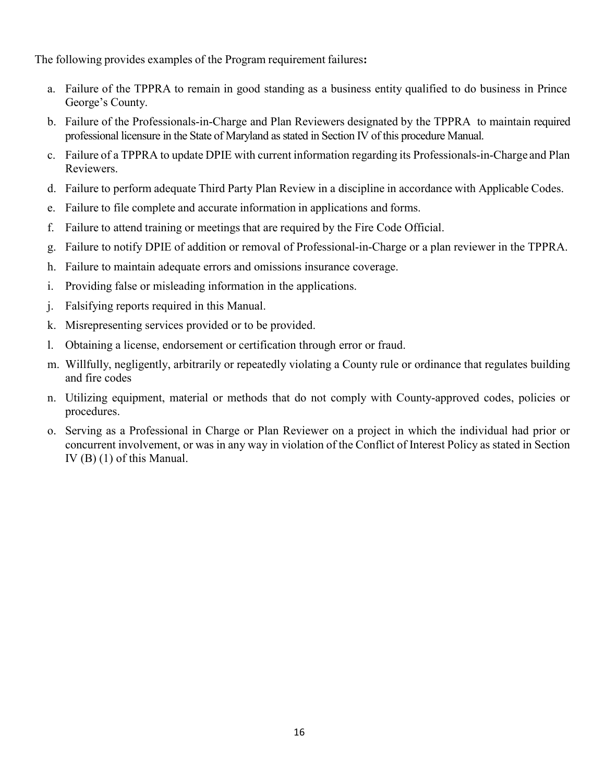The following provides examples of the Program requirement failures**:**

- a. Failure of the TPPRA to remain in good standing as a business entity qualified to do business in Prince George's County.
- b. Failure of the Professionals-in-Charge and Plan Reviewers designated by the TPPRA to maintain required professional licensure in the State of Maryland as stated in Section IV of this procedure Manual.
- c. Failure of a TPPRA to update DPIE with current information regarding its Professionals-in-Charge and Plan Reviewers.
- d. Failure to perform adequate Third Party Plan Review in a discipline in accordance with Applicable Codes.
- e. Failure to file complete and accurate information in applications and forms.
- f. Failure to attend training or meetings that are required by the Fire Code Official.
- g. Failure to notify DPIE of addition or removal of Professional-in-Charge or a plan reviewer in the TPPRA.
- h. Failure to maintain adequate errors and omissions insurance coverage.
- i. Providing false or misleading information in the applications.
- j. Falsifying reports required in this Manual.
- k. Misrepresenting services provided or to be provided.
- l. Obtaining a license, endorsement or certification through error or fraud.
- m. Willfully, negligently, arbitrarily or repeatedly violating a County rule or ordinance that regulates building and fire codes
- n. Utilizing equipment, material or methods that do not comply with County-approved codes, policies or procedures.
- o. Serving as a Professional in Charge or Plan Reviewer on a project in which the individual had prior or concurrent involvement, or was in any way in violation of the Conflict of Interest Policy as stated in Section IV (B) (1) of this Manual.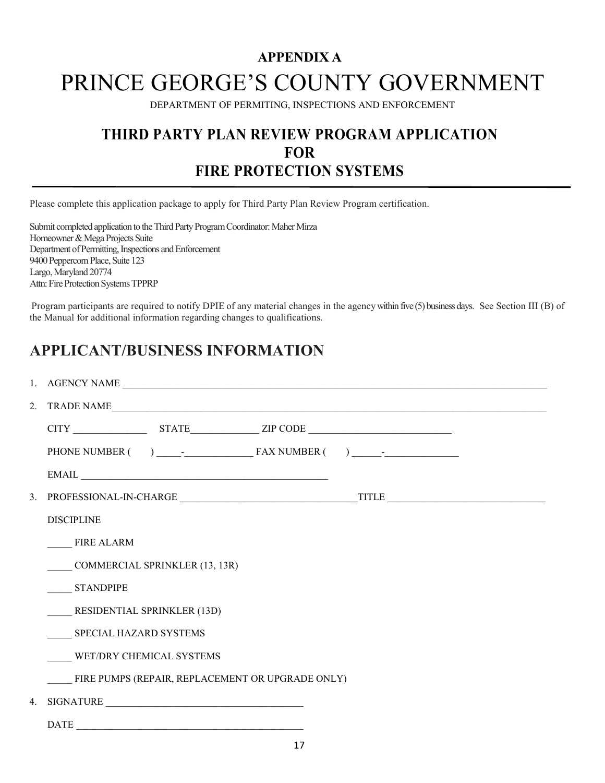# **APPENDIX A** PRINCE GEORGE'S COUNTY GOVERNMENT

DEPARTMENT OF PERMITING, INSPECTIONS AND ENFORCEMENT

# **THIRD PARTY PLAN REVIEW PROGRAM APPLICATION FOR FIRE PROTECTION SYSTEMS**

Please complete this application package to apply for Third Party Plan Review Program certification.

Submit completed application to the Third Party Program Coordinator: Maher Mirza Homeowner & Mega Projects Suite Department of Permitting, Inspections and Enforcement 9400 Peppercorn Place, Suite 123 Largo, Maryland 20774 Attn: Fire Protection Systems TPPRP

Program participants are required to notify DPIE of any material changes in the agency within five (5) business days. See Section III (B) of the Manual for additional information regarding changes to qualifications.

# **APPLICANT/BUSINESS INFORMATION**

| 2. TRADE NAME                                                                                                                                                                                                                                                                                                                                                                                                                                                                        |  |  |  |  |  |
|--------------------------------------------------------------------------------------------------------------------------------------------------------------------------------------------------------------------------------------------------------------------------------------------------------------------------------------------------------------------------------------------------------------------------------------------------------------------------------------|--|--|--|--|--|
|                                                                                                                                                                                                                                                                                                                                                                                                                                                                                      |  |  |  |  |  |
|                                                                                                                                                                                                                                                                                                                                                                                                                                                                                      |  |  |  |  |  |
| $EMAIL \begin{tabular}{@{}c@{}} \hline \multicolumn{3}{c}{} & \multicolumn{3}{c}{} & \multicolumn{3}{c}{} & \multicolumn{3}{c}{} \\ \hline \multicolumn{3}{c}{} & \multicolumn{3}{c}{} & \multicolumn{3}{c}{} & \multicolumn{3}{c}{} & \multicolumn{3}{c}{} \\ \hline \multicolumn{3}{c}{} & \multicolumn{3}{c}{} & \multicolumn{3}{c}{} & \multicolumn{3}{c}{} & \multicolumn{3}{c}{} \\ \multicolumn{3}{c}{} & \multicolumn{3}{c}{} & \multicolumn{3}{c}{} & \multicolumn{3}{c}{}$ |  |  |  |  |  |
|                                                                                                                                                                                                                                                                                                                                                                                                                                                                                      |  |  |  |  |  |
| <b>DISCIPLINE</b>                                                                                                                                                                                                                                                                                                                                                                                                                                                                    |  |  |  |  |  |
| <b>FIRE ALARM</b>                                                                                                                                                                                                                                                                                                                                                                                                                                                                    |  |  |  |  |  |
| <b>COMMERCIAL SPRINKLER (13, 13R)</b>                                                                                                                                                                                                                                                                                                                                                                                                                                                |  |  |  |  |  |
| <b>STANDPIPE</b>                                                                                                                                                                                                                                                                                                                                                                                                                                                                     |  |  |  |  |  |
| <b>RESIDENTIAL SPRINKLER (13D)</b>                                                                                                                                                                                                                                                                                                                                                                                                                                                   |  |  |  |  |  |
| SPECIAL HAZARD SYSTEMS                                                                                                                                                                                                                                                                                                                                                                                                                                                               |  |  |  |  |  |
| WET/DRY CHEMICAL SYSTEMS                                                                                                                                                                                                                                                                                                                                                                                                                                                             |  |  |  |  |  |
| FIRE PUMPS (REPAIR, REPLACEMENT OR UPGRADE ONLY)                                                                                                                                                                                                                                                                                                                                                                                                                                     |  |  |  |  |  |
| 4. SIGNATURE                                                                                                                                                                                                                                                                                                                                                                                                                                                                         |  |  |  |  |  |
| <b>DATE</b><br><u> 1990 - Jan James James James James James James James James James James James James James James James James J</u>                                                                                                                                                                                                                                                                                                                                                  |  |  |  |  |  |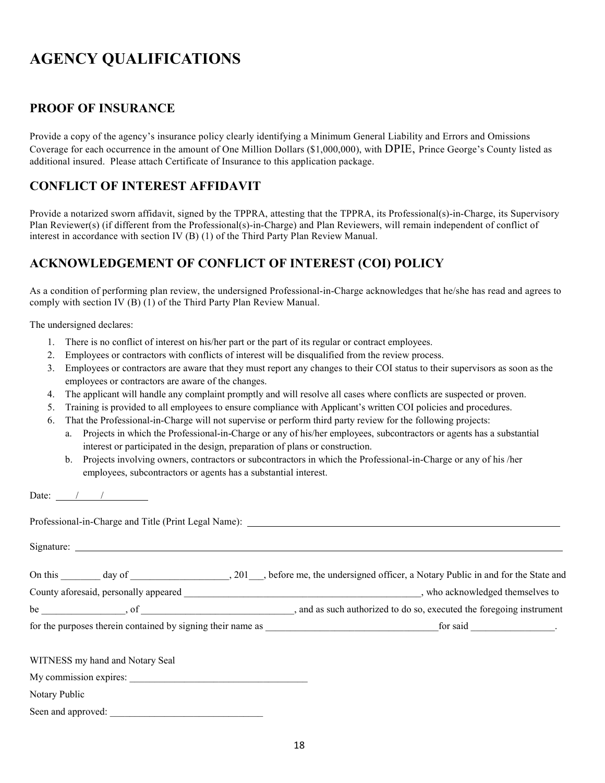# **AGENCY QUALIFICATIONS**

#### **PROOF OF INSURANCE**

Provide a copy of the agency's insurance policy clearly identifying a Minimum General Liability and Errors and Omissions Coverage for each occurrence in the amount of One Million Dollars (\$1,000,000), with DPIE, Prince George's County listed as additional insured. Please attach Certificate of Insurance to this application package.

#### **CONFLICT OF INTEREST AFFIDAVIT**

Provide a notarized sworn affidavit, signed by the TPPRA, attesting that the TPPRA, its Professional(s)-in-Charge, its Supervisory Plan Reviewer(s) (if different from the Professional(s)-in-Charge) and Plan Reviewers, will remain independent of conflict of interest in accordance with section IV (B) (1) of the Third Party Plan Review Manual.

## **ACKNOWLEDGEMENT OF CONFLICT OF INTEREST (COI) POLICY**

As a condition of performing plan review, the undersigned Professional-in-Charge acknowledges that he/she has read and agrees to comply with section IV (B) (1) of the Third Party Plan Review Manual.

The undersigned declares:

- 1. There is no conflict of interest on his/her part or the part of its regular or contract employees.
- 2. Employees or contractors with conflicts of interest will be disqualified from the review process.
- 3. Employees or contractors are aware that they must report any changes to their COI status to their supervisors as soon as the employees or contractors are aware of the changes.
- 4. The applicant will handle any complaint promptly and will resolve all cases where conflicts are suspected or proven.
- 5. Training is provided to all employees to ensure compliance with Applicant's written COI policies and procedures.
- 6. That the Professional-in-Charge will not supervise or perform third party review for the following projects:
	- a. Projects in which the Professional-in-Charge or any of his/her employees, subcontractors or agents has a substantial interest or participated in the design, preparation of plans or construction.
	- b. Projects involving owners, contractors or subcontractors in which the Professional-in-Charge or any of his /her employees, subcontractors or agents has a substantial interest.

Date:  $\frac{1}{\sqrt{1-\frac{1}{2}}}$ 

| On this day of 201, before me, the undersigned officer, a Notary Public in and for the State and                                                                                                                               |  |
|--------------------------------------------------------------------------------------------------------------------------------------------------------------------------------------------------------------------------------|--|
| County aforesaid, personally appeared example and the set of the set of the set of the set of the set of the set of the set of the set of the set of the set of the set of the set of the set of the set of the set of the set |  |
|                                                                                                                                                                                                                                |  |
|                                                                                                                                                                                                                                |  |
| WITNESS my hand and Notary Seal                                                                                                                                                                                                |  |
| My commission expires:                                                                                                                                                                                                         |  |
| Notary Public                                                                                                                                                                                                                  |  |
|                                                                                                                                                                                                                                |  |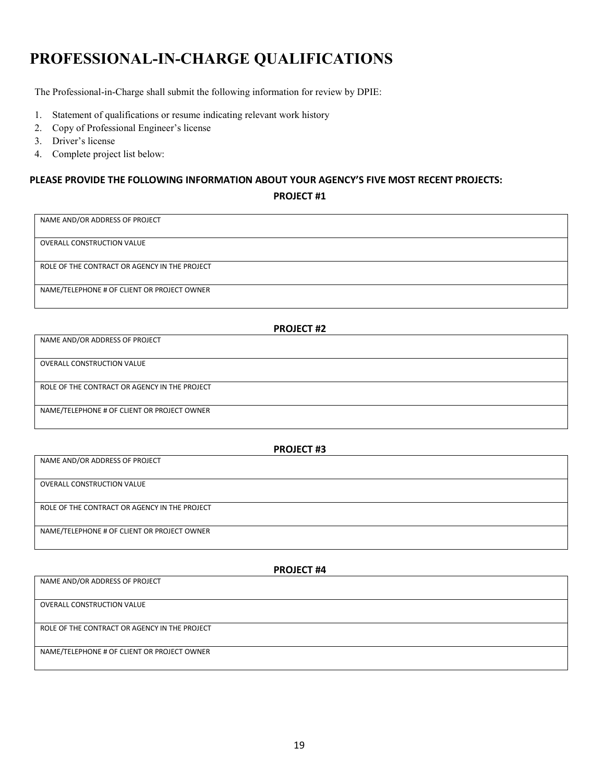# **PROFESSIONAL-IN-CHARGE QUALIFICATIONS**

The Professional-in-Charge shall submit the following information for review by DPIE:

- 1. Statement of qualifications or resume indicating relevant work history
- 2. Copy of Professional Engineer's license
- 3. Driver's license
- 4. Complete project list below:

#### **PLEASE PROVIDE THE FOLLOWING INFORMATION ABOUT YOUR AGENCY'S FIVE MOST RECENT PROJECTS:**

**PROJECT #1**

| NAME AND/OR ADDRESS OF PROJECT                |  |  |  |  |
|-----------------------------------------------|--|--|--|--|
|                                               |  |  |  |  |
|                                               |  |  |  |  |
|                                               |  |  |  |  |
| OVERALL CONSTRUCTION VALUE                    |  |  |  |  |
|                                               |  |  |  |  |
|                                               |  |  |  |  |
|                                               |  |  |  |  |
| ROLE OF THE CONTRACT OR AGENCY IN THE PROJECT |  |  |  |  |
|                                               |  |  |  |  |
|                                               |  |  |  |  |
|                                               |  |  |  |  |
| NAME/TELEPHONE # OF CLIENT OR PROJECT OWNER   |  |  |  |  |
|                                               |  |  |  |  |
|                                               |  |  |  |  |
|                                               |  |  |  |  |
|                                               |  |  |  |  |
|                                               |  |  |  |  |

| <b>PROJECT #2</b>                             |  |  |  |
|-----------------------------------------------|--|--|--|
| NAME AND/OR ADDRESS OF PROJECT                |  |  |  |
|                                               |  |  |  |
| OVERALL CONSTRUCTION VALUE                    |  |  |  |
|                                               |  |  |  |
| ROLE OF THE CONTRACT OR AGENCY IN THE PROJECT |  |  |  |
|                                               |  |  |  |
| NAME/TELEPHONE # OF CLIENT OR PROJECT OWNER   |  |  |  |
|                                               |  |  |  |

| <b>PROJECT #3</b>                             |  |  |  |
|-----------------------------------------------|--|--|--|
| NAME AND/OR ADDRESS OF PROJECT                |  |  |  |
|                                               |  |  |  |
| <b>OVERALL CONSTRUCTION VALUE</b>             |  |  |  |
|                                               |  |  |  |
| ROLE OF THE CONTRACT OR AGENCY IN THE PROJECT |  |  |  |
|                                               |  |  |  |
| NAME/TELEPHONE # OF CLIENT OR PROJECT OWNER   |  |  |  |
|                                               |  |  |  |

| <b>PROJECT #4</b>                             |  |  |  |
|-----------------------------------------------|--|--|--|
| NAME AND/OR ADDRESS OF PROJECT                |  |  |  |
|                                               |  |  |  |
| <b>OVERALL CONSTRUCTION VALUE</b>             |  |  |  |
|                                               |  |  |  |
| ROLE OF THE CONTRACT OR AGENCY IN THE PROJECT |  |  |  |
|                                               |  |  |  |
| NAME/TELEPHONE # OF CLIENT OR PROJECT OWNER   |  |  |  |
|                                               |  |  |  |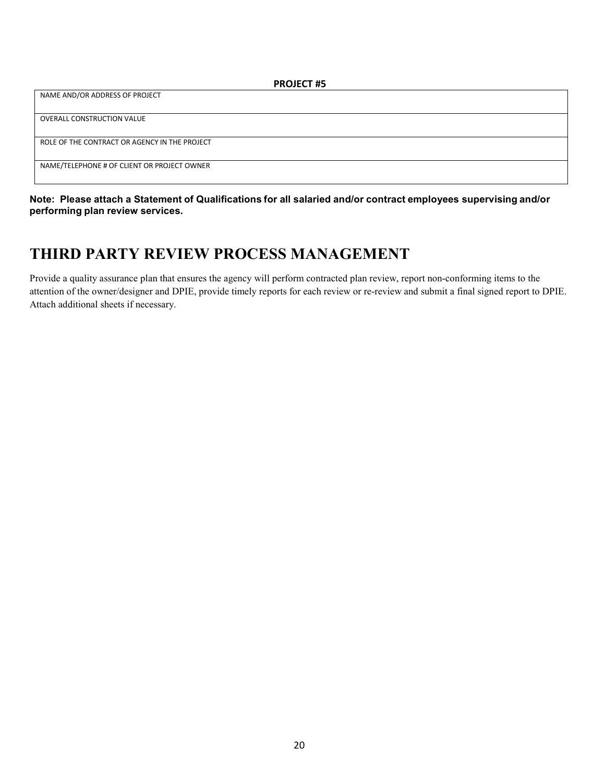| <b>PROJECT #5</b>                             |  |  |  |
|-----------------------------------------------|--|--|--|
| NAME AND/OR ADDRESS OF PROJECT                |  |  |  |
|                                               |  |  |  |
| <b>OVERALL CONSTRUCTION VALUE</b>             |  |  |  |
|                                               |  |  |  |
| ROLE OF THE CONTRACT OR AGENCY IN THE PROJECT |  |  |  |
|                                               |  |  |  |
| NAME/TELEPHONE # OF CLIENT OR PROJECT OWNER   |  |  |  |
|                                               |  |  |  |

**Note: Please attach a Statement of Qualifications for all salaried and/or contract employees supervising and/or performing plan review services.**

# **THIRD PARTY REVIEW PROCESS MANAGEMENT**

Provide a quality assurance plan that ensures the agency will perform contracted plan review, report non-conforming items to the attention of the owner/designer and DPIE, provide timely reports for each review or re-review and submit a final signed report to DPIE. Attach additional sheets if necessary.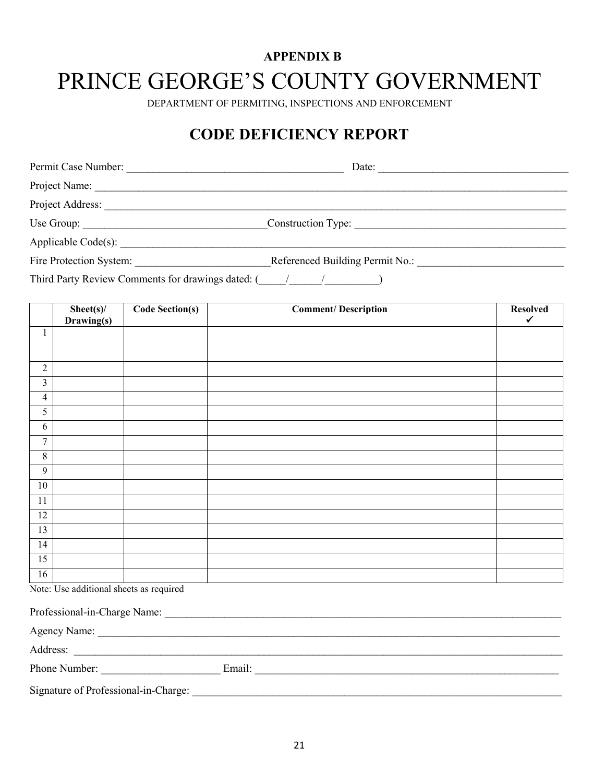# **APPENDIX B** PRINCE GEORGE'S COUNTY GOVERNMENT

DEPARTMENT OF PERMITING, INSPECTIONS AND ENFORCEMENT

# **CODE DEFICIENCY REPORT**

| Permit Case Number:                                           | Date:                           |  |  |
|---------------------------------------------------------------|---------------------------------|--|--|
| Project Name:                                                 |                                 |  |  |
| Project Address:                                              |                                 |  |  |
|                                                               | Construction Type:              |  |  |
|                                                               |                                 |  |  |
| Fire Protection System:                                       | Referenced Building Permit No.: |  |  |
| Third Party Review Comments for drawings dated: ( / / / / / ) |                                 |  |  |

|                                         | $Sheet(s)$ / | <b>Code Section(s)</b> | <b>Comment/Description</b> | <b>Resolved</b> |
|-----------------------------------------|--------------|------------------------|----------------------------|-----------------|
|                                         | Drawing(s)   |                        |                            | $\checkmark$    |
| $\mathbf{1}$                            |              |                        |                            |                 |
|                                         |              |                        |                            |                 |
|                                         |              |                        |                            |                 |
| $\sqrt{2}$                              |              |                        |                            |                 |
| $\mathfrak{Z}$                          |              |                        |                            |                 |
| $\overline{4}$                          |              |                        |                            |                 |
| 5                                       |              |                        |                            |                 |
| 6                                       |              |                        |                            |                 |
| $\overline{7}$                          |              |                        |                            |                 |
| $8\,$                                   |              |                        |                            |                 |
| $\overline{9}$                          |              |                        |                            |                 |
| $10\,$                                  |              |                        |                            |                 |
| 11                                      |              |                        |                            |                 |
| 12                                      |              |                        |                            |                 |
| 13                                      |              |                        |                            |                 |
| 14                                      |              |                        |                            |                 |
| 15                                      |              |                        |                            |                 |
| 16                                      |              |                        |                            |                 |
| Note: Use additional sheets as required |              |                        |                            |                 |
| Professional-in-Charge Name:            |              |                        |                            |                 |
|                                         |              |                        |                            |                 |
|                                         | Agency Name: |                        |                            |                 |

| Address:                             |        |  |
|--------------------------------------|--------|--|
| Phone Number:                        | Email: |  |
| Signature of Professional-in-Charge: |        |  |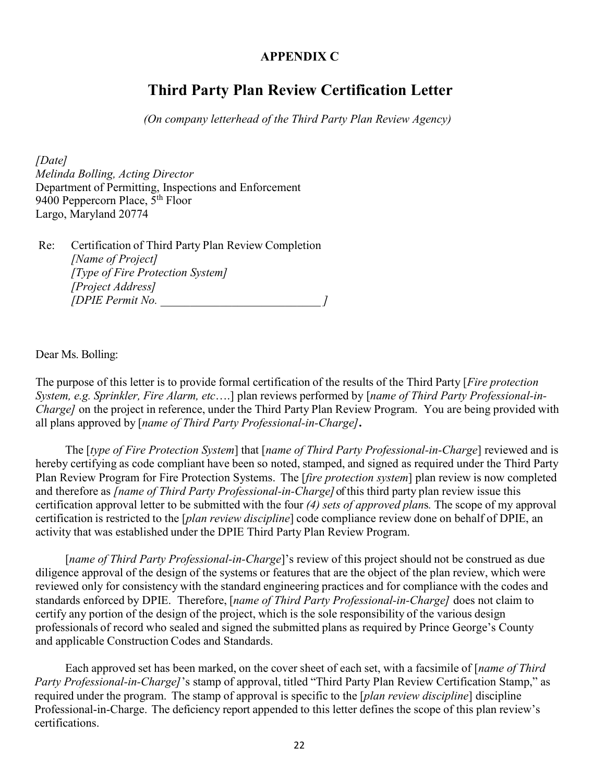#### **APPENDIX C**

# **Third Party Plan Review Certification Letter**

*(On company letterhead of the Third Party Plan Review Agency)*

*[Date] Melinda Bolling, Acting Director* Department of Permitting, Inspections and Enforcement 9400 Peppercorn Place,  $5<sup>th</sup>$  Floor Largo, Maryland 20774

Re: Certification of Third Party Plan Review Completion *[Name of Project] [Type of Fire Protection System] [Project Address] [DPIE Permit No. \_\_\_\_\_\_\_\_\_\_\_\_\_\_\_\_\_\_\_\_\_\_\_\_\_\_\_ ]*

Dear Ms. Bolling:

The purpose of this letter is to provide formal certification of the results of the Third Party [*Fire protection System, e.g. Sprinkler, Fire Alarm, etc*….] plan reviews performed by [*name of Third Party Professional-in-Charge]* on the project in reference, under the Third Party Plan Review Program. You are being provided with all plans approved by [*name of Third Party Professional-in-Charge]***.**

The [*type of Fire Protection System*] that [*name of Third Party Professional-in-Charge*] reviewed and is hereby certifying as code compliant have been so noted, stamped, and signed as required under the Third Party Plan Review Program for Fire Protection Systems. The [*fire protection system*] plan review is now completed and therefore as *[name of Third Party Professional-in-Charge]* of this third party plan review issue this certification approval letter to be submitted with the four *(4) sets of approved plan*s*.* The scope of my approval certification is restricted to the [*plan review discipline*] code compliance review done on behalf of DPIE, an activity that was established under the DPIE Third Party Plan Review Program.

[*name of Third Party Professional-in-Charge*]'s review of this project should not be construed as due diligence approval of the design of the systems or features that are the object of the plan review, which were reviewed only for consistency with the standard engineering practices and for compliance with the codes and standards enforced by DPIE. Therefore, [*name of Third Party Professional-in-Charge]* does not claim to certify any portion of the design of the project, which is the sole responsibility of the various design professionals of record who sealed and signed the submitted plans as required by Prince George's County and applicable Construction Codes and Standards.

Each approved set has been marked, on the cover sheet of each set, with a facsimile of [*name of Third Party Professional-in-Charge]*'s stamp of approval, titled "Third Party Plan Review Certification Stamp," as required under the program. The stamp of approval is specific to the [*plan review discipline*] discipline Professional-in-Charge. The deficiency report appended to this letter defines the scope of this plan review's certifications.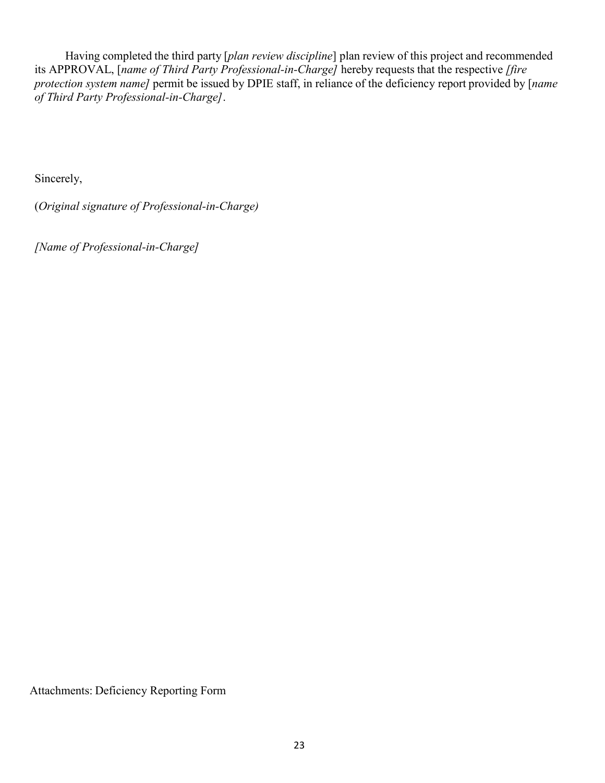Having completed the third party [*plan review discipline*] plan review of this project and recommended its APPROVAL, [*name of Third Party Professional-in-Charge]* hereby requests that the respective *[fire protection system name]* permit be issued by DPIE staff, in reliance of the deficiency report provided by [*name of Third Party Professional-in-Charge]*.

Sincerely,

(*Original signature of Professional-in-Charge)*

*[Name of Professional-in-Charge]*

Attachments: Deficiency Reporting Form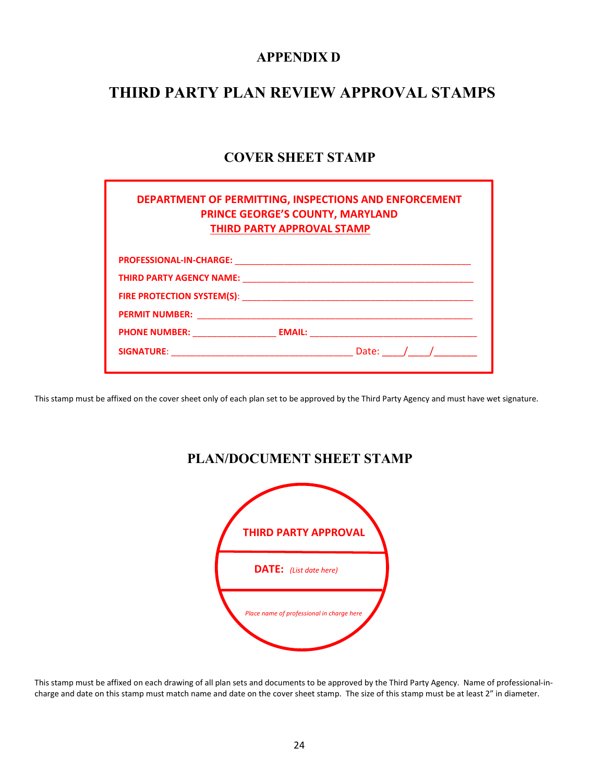#### **APPENDIX D**

# **THIRD PARTY PLAN REVIEW APPROVAL STAMPS**

# **COVER SHEET STAMP**

| DEPARTMENT OF PERMITTING, INSPECTIONS AND ENFORCEMENT<br><b>PRINCE GEORGE'S COUNTY, MARYLAND</b><br><b>THIRD PARTY APPROVAL STAMP</b> |             |
|---------------------------------------------------------------------------------------------------------------------------------------|-------------|
|                                                                                                                                       |             |
|                                                                                                                                       |             |
|                                                                                                                                       |             |
|                                                                                                                                       |             |
|                                                                                                                                       |             |
|                                                                                                                                       | Date: $/$ / |

This stamp must be affixed on the cover sheet only of each plan set to be approved by the Third Party Agency and must have wet signature.

# **THIRD PARTY APPROVAL**  **DATE:** *(List date here) Place name of professional in charge here*

**PLAN/DOCUMENT SHEET STAMP**

This stamp must be affixed on each drawing of all plan sets and documents to be approved by the Third Party Agency. Name of professional-incharge and date on this stamp must match name and date on the cover sheet stamp. The size of this stamp must be at least 2" in diameter.